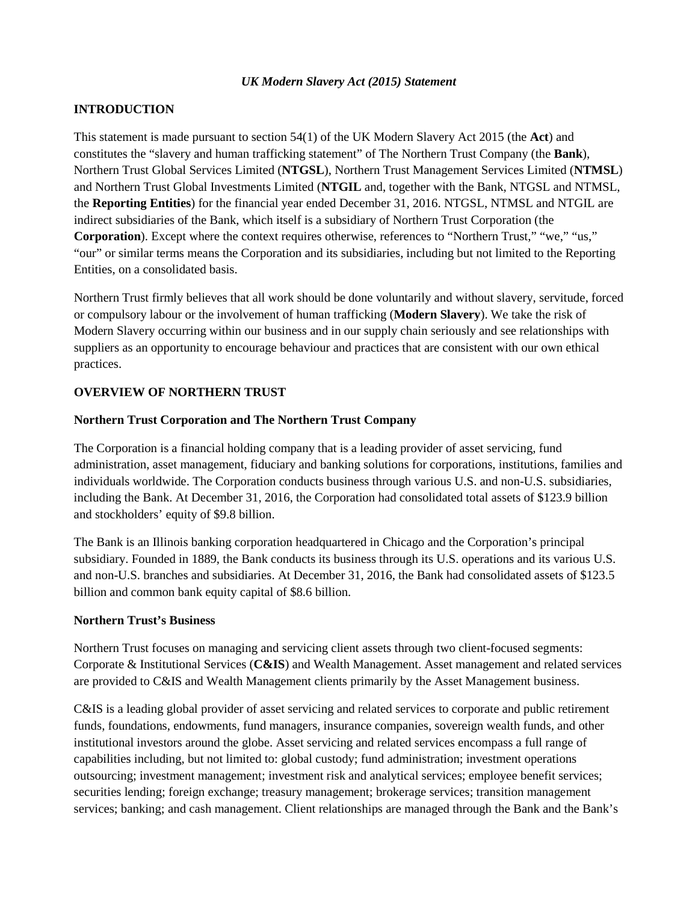### *UK Modern Slavery Act (2015) Statement*

## **INTRODUCTION**

This statement is made pursuant to section 54(1) of the UK Modern Slavery Act 2015 (the **Act**) and constitutes the "slavery and human trafficking statement" of The Northern Trust Company (the **Bank**), Northern Trust Global Services Limited (**NTGSL**), Northern Trust Management Services Limited (**NTMSL**) and Northern Trust Global Investments Limited (**NTGIL** and, together with the Bank, NTGSL and NTMSL, the **Reporting Entities**) for the financial year ended December 31, 2016. NTGSL, NTMSL and NTGIL are indirect subsidiaries of the Bank, which itself is a subsidiary of Northern Trust Corporation (the **Corporation**). Except where the context requires otherwise, references to "Northern Trust," "we," "us," "our" or similar terms means the Corporation and its subsidiaries, including but not limited to the Reporting Entities, on a consolidated basis.

Northern Trust firmly believes that all work should be done voluntarily and without slavery, servitude, forced or compulsory labour or the involvement of human trafficking (**Modern Slavery**). We take the risk of Modern Slavery occurring within our business and in our supply chain seriously and see relationships with suppliers as an opportunity to encourage behaviour and practices that are consistent with our own ethical practices.

### **OVERVIEW OF NORTHERN TRUST**

### **Northern Trust Corporation and The Northern Trust Company**

The Corporation is a financial holding company that is a leading provider of asset servicing, fund administration, asset management, fiduciary and banking solutions for corporations, institutions, families and individuals worldwide. The Corporation conducts business through various U.S. and non-U.S. subsidiaries, including the Bank. At December 31, 2016, the Corporation had consolidated total assets of \$123.9 billion and stockholders' equity of \$9.8 billion.

The Bank is an Illinois banking corporation headquartered in Chicago and the Corporation's principal subsidiary. Founded in 1889, the Bank conducts its business through its U.S. operations and its various U.S. and non-U.S. branches and subsidiaries. At December 31, 2016, the Bank had consolidated assets of \$123.5 billion and common bank equity capital of \$8.6 billion.

### **Northern Trust's Business**

Northern Trust focuses on managing and servicing client assets through two client-focused segments: Corporate & Institutional Services (**C&IS**) and Wealth Management. Asset management and related services are provided to C&IS and Wealth Management clients primarily by the Asset Management business.

C&IS is a leading global provider of asset servicing and related services to corporate and public retirement funds, foundations, endowments, fund managers, insurance companies, sovereign wealth funds, and other institutional investors around the globe. Asset servicing and related services encompass a full range of capabilities including, but not limited to: global custody; fund administration; investment operations outsourcing; investment management; investment risk and analytical services; employee benefit services; securities lending; foreign exchange; treasury management; brokerage services; transition management services; banking; and cash management. Client relationships are managed through the Bank and the Bank's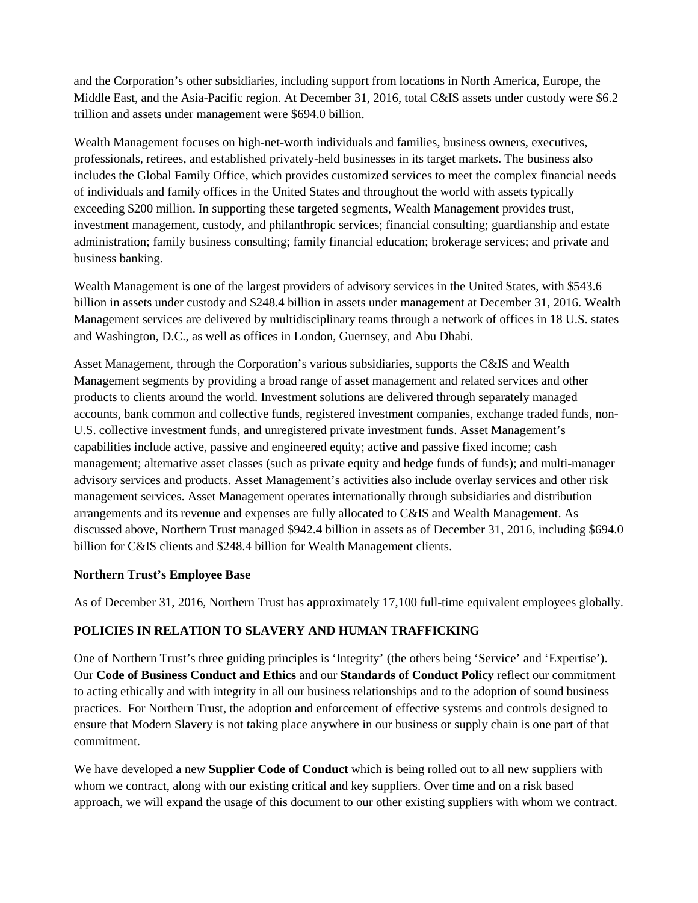and the Corporation's other subsidiaries, including support from locations in North America, Europe, the Middle East, and the Asia-Pacific region. At December 31, 2016, total C&IS assets under custody were \$6.2 trillion and assets under management were \$694.0 billion.

Wealth Management focuses on high-net-worth individuals and families, business owners, executives, professionals, retirees, and established privately-held businesses in its target markets. The business also includes the Global Family Office, which provides customized services to meet the complex financial needs of individuals and family offices in the United States and throughout the world with assets typically exceeding \$200 million. In supporting these targeted segments, Wealth Management provides trust, investment management, custody, and philanthropic services; financial consulting; guardianship and estate administration; family business consulting; family financial education; brokerage services; and private and business banking.

Wealth Management is one of the largest providers of advisory services in the United States, with \$543.6 billion in assets under custody and \$248.4 billion in assets under management at December 31, 2016. Wealth Management services are delivered by multidisciplinary teams through a network of offices in 18 U.S. states and Washington, D.C., as well as offices in London, Guernsey, and Abu Dhabi.

Asset Management, through the Corporation's various subsidiaries, supports the C&IS and Wealth Management segments by providing a broad range of asset management and related services and other products to clients around the world. Investment solutions are delivered through separately managed accounts, bank common and collective funds, registered investment companies, exchange traded funds, non-U.S. collective investment funds, and unregistered private investment funds. Asset Management's capabilities include active, passive and engineered equity; active and passive fixed income; cash management; alternative asset classes (such as private equity and hedge funds of funds); and multi-manager advisory services and products. Asset Management's activities also include overlay services and other risk management services. Asset Management operates internationally through subsidiaries and distribution arrangements and its revenue and expenses are fully allocated to C&IS and Wealth Management. As discussed above, Northern Trust managed \$942.4 billion in assets as of December 31, 2016, including \$694.0 billion for C&IS clients and \$248.4 billion for Wealth Management clients.

### **Northern Trust's Employee Base**

As of December 31, 2016, Northern Trust has approximately 17,100 full-time equivalent employees globally.

### **POLICIES IN RELATION TO SLAVERY AND HUMAN TRAFFICKING**

One of Northern Trust's three guiding principles is 'Integrity' (the others being 'Service' and 'Expertise'). Our **Code of Business Conduct and Ethics** and our **Standards of Conduct Policy** reflect our commitment to acting ethically and with integrity in all our business relationships and to the adoption of sound business practices. For Northern Trust, the adoption and enforcement of effective systems and controls designed to ensure that Modern Slavery is not taking place anywhere in our business or supply chain is one part of that commitment.

We have developed a new **Supplier Code of Conduct** which is being rolled out to all new suppliers with whom we contract, along with our existing critical and key suppliers. Over time and on a risk based approach, we will expand the usage of this document to our other existing suppliers with whom we contract.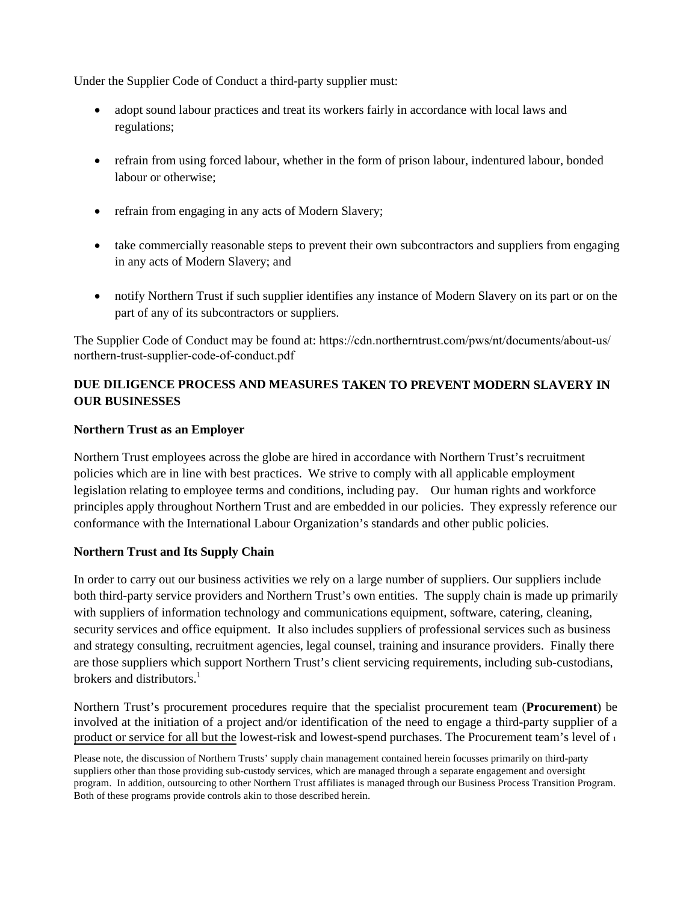Under the Supplier Code of Conduct a third-party supplier must:

- adopt sound labour practices and treat its workers fairly in accordance with local laws and regulations;
- refrain from using forced labour, whether in the form of prison labour, indentured labour, bonded labour or otherwise;
- refrain from engaging in any acts of Modern Slavery;
- take commercially reasonable steps to prevent their own subcontractors and suppliers from engaging in any acts of Modern Slavery; and
- notify Northern Trust if such supplier identifies any instance of Modern Slavery on its part or on the part of any of its subcontractors or suppliers.

The Supplier Code of Conduct may be found at: [https://cdn.northerntrust.com/pws/nt/documents/about-us/](https://cdn.northerntrust.com/pws/nt/documents/about-us/northern-trust-supplier-code-of-conduct.pdf) northern-trust-supplier-code-of-conduct.pdf

# **DUE DILIGENCE PROCESS AND MEASURES TAKEN TO PREVENT MODERN SLAVERY IN OUR BUSINESSES**

### **Northern Trust as an Employer**

Northern Trust employees across the globe are hired in accordance with Northern Trust's recruitment policies which are in line with best practices. We strive to comply with all applicable employment legislation relating to employee terms and conditions, including pay. Our human rights and workforce principles apply throughout Northern Trust and are embedded in our policies. They expressly reference our conformance with the International Labour Organization's standards and other public policies.

### **Northern Trust and Its Supply Chain**

In order to carry out our business activities we rely on a large number of suppliers. Our suppliers include both third-party service providers and Northern Trust's own entities. The supply chain is made up primarily with suppliers of information technology and communications equipment, software, catering, cleaning, security services and office equipment. It also includes suppliers of professional services such as business and strategy consulting, recruitment agencies, legal counsel, training and insurance providers. Finally there are those suppliers which support Northern Trust's client servicing requirements, including sub-custodians, brokers and distributors.<sup>[1](#page-2-0)</sup>

Northern Trust's procurement procedures require that the specialist procurement team (**Procurement**) be involved at the initiation of a project and/or identification of the need to engage a third-party supplier of a product or service for all but the lowest-risk and lowest-spend purchases. The Procurement team's level of <sup>1</sup>

<span id="page-2-0"></span>Please note, the discussion of Northern Trusts' supply chain management contained herein focusses primarily on third-party suppliers other than those providing sub-custody services, which are managed through a separate engagement and oversight program. In addition, outsourcing to other Northern Trust affiliates is managed through our Business Process Transition Program. Both of these programs provide controls akin to those described herein.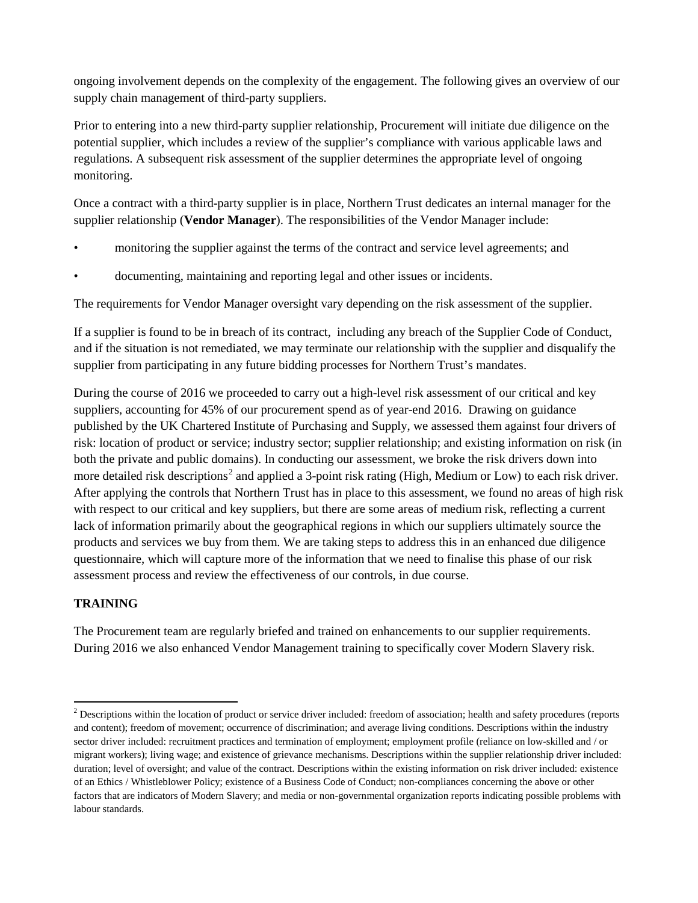ongoing involvement depends on the complexity of the engagement. The following gives an overview of our supply chain management of third-party suppliers.

Prior to entering into a new third-party supplier relationship, Procurement will initiate due diligence on the potential supplier, which includes a review of the supplier's compliance with various applicable laws and regulations. A subsequent risk assessment of the supplier determines the appropriate level of ongoing monitoring.

Once a contract with a third-party supplier is in place, Northern Trust dedicates an internal manager for the supplier relationship (**Vendor Manager**). The responsibilities of the Vendor Manager include:

- monitoring the supplier against the terms of the contract and service level agreements; and
- documenting, maintaining and reporting legal and other issues or incidents.

The requirements for Vendor Manager oversight vary depending on the risk assessment of the supplier.

If a supplier is found to be in breach of its contract, including any breach of the Supplier Code of Conduct, and if the situation is not remediated, we may terminate our relationship with the supplier and disqualify the supplier from participating in any future bidding processes for Northern Trust's mandates.

During the course of 2016 we proceeded to carry out a high-level risk assessment of our critical and key suppliers, accounting for 45% of our procurement spend as of year-end 2016. Drawing on guidance published by the UK Chartered Institute of Purchasing and Supply, we assessed them against four drivers of risk: location of product or service; industry sector; supplier relationship; and existing information on risk (in both the private and public domains). In conducting our assessment, we broke the risk drivers down into more detailed risk descriptions<sup>[2](#page-3-0)</sup> and applied a 3-point risk rating (High, Medium or Low) to each risk driver. After applying the controls that Northern Trust has in place to this assessment, we found no areas of high risk with respect to our critical and key suppliers, but there are some areas of medium risk, reflecting a current lack of information primarily about the geographical regions in which our suppliers ultimately source the products and services we buy from them. We are taking steps to address this in an enhanced due diligence questionnaire, which will capture more of the information that we need to finalise this phase of our risk assessment process and review the effectiveness of our controls, in due course.

### **TRAINING**

 $\overline{a}$ 

The Procurement team are regularly briefed and trained on enhancements to our supplier requirements. During 2016 we also enhanced Vendor Management training to specifically cover Modern Slavery risk.

<span id="page-3-0"></span> $2$  Descriptions within the location of product or service driver included: freedom of association; health and safety procedures (reports and content); freedom of movement; occurrence of discrimination; and average living conditions. Descriptions within the industry sector driver included: recruitment practices and termination of employment; employment profile (reliance on low-skilled and / or migrant workers); living wage; and existence of grievance mechanisms. Descriptions within the supplier relationship driver included: duration; level of oversight; and value of the contract. Descriptions within the existing information on risk driver included: existence of an Ethics / Whistleblower Policy; existence of a Business Code of Conduct; non-compliances concerning the above or other factors that are indicators of Modern Slavery; and media or non-governmental organization reports indicating possible problems with labour standards.